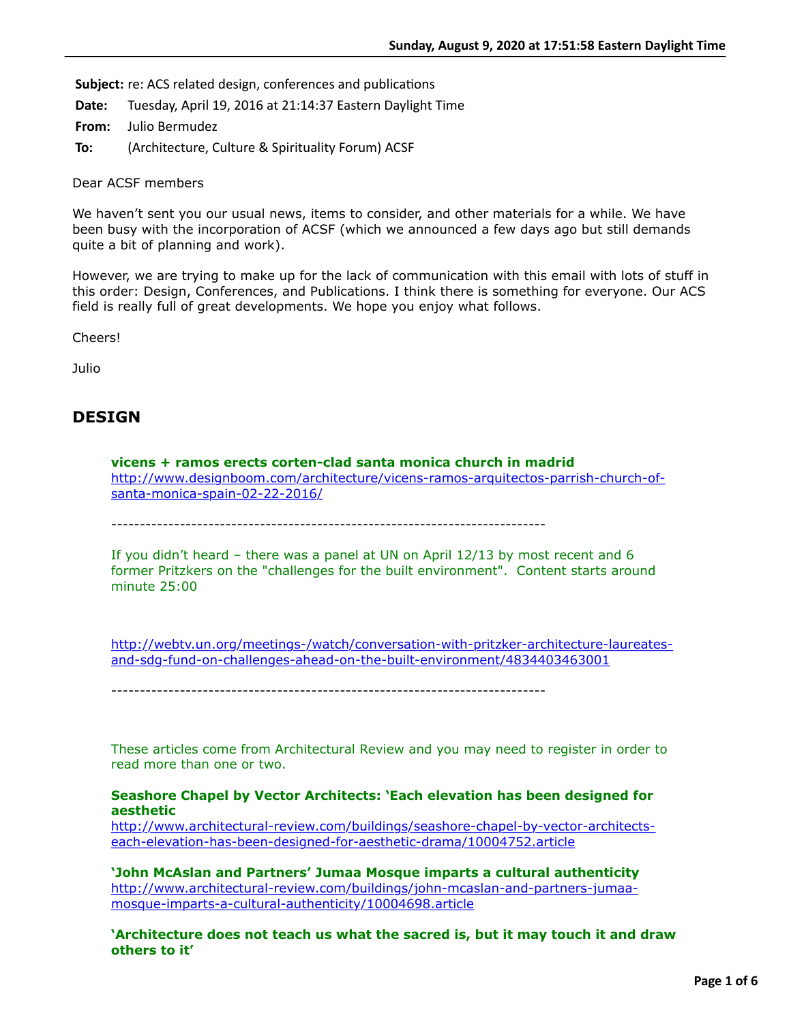**Subject:** re: ACS related design, conferences and publications

**Date:** Tuesday, April 19, 2016 at 21:14:37 Eastern Daylight Time

**From:** Julio Bermudez

**To:** (Architecture, Culture & Spirituality Forum) ACSF

Dear ACSF members

We haven't sent you our usual news, items to consider, and other materials for a while. We have been busy with the incorporation of ACSF (which we announced a few days ago but still demands quite a bit of planning and work).

However, we are trying to make up for the lack of communication with this email with lots of stuff in this order: Design, Conferences, and Publications. I think there is something for everyone. Our ACS field is really full of great developments. We hope you enjoy what follows.

Cheers!

Julio

# **DESIGN**

**vicens + ramos erects corten-clad santa monica church in madrid** [http://www.designboom.com/architecture/vicens-ramos-arquitectos-parrish-church-of](http://www.designboom.com/architecture/vicens-ramos-arquitectos-parrish-church-of-santa-monica-spain-02-22-2016/)santa-monica-spain-02-22-2016/

----------------------------------------------------------------------------

If you didn't heard – there was a panel at UN on April 12/13 by most recent and 6 former Pritzkers on the "challenges for the built environment". Content starts around minute 25:00

[http://webtv.un.org/meetings-/watch/conversation-with-pritzker-architecture-laureates](http://webtv.un.org/meetings-/watch/conversation-with-pritzker-architecture-laureates-and-sdg-fund-on-challenges-ahead-on-the-built-environment/4834403463001)and-sdg-fund-on-challenges-ahead-on-the-built-environment/4834403463001

----------------------------------------------------------------------------

These articles come from Architectural Review and you may need to register in order to read more than one or two.

## **Seashore Chapel by Vector Architects: 'Each elevation has been designed for aesthetic**

[http://www.architectural-review.com/buildings/seashore-chapel-by-vector-architects](http://www.architectural-review.com/buildings/seashore-chapel-by-vector-architects-each-elevation-has-been-designed-for-aesthetic-drama/10004752.article)each-elevation-has-been-designed-for-aesthetic-drama/10004752.article

**'John McAslan and Partners' Jumaa Mosque imparts a cultural authenticity** [http://www.architectural-review.com/buildings/john-mcaslan-and-partners-jumaa](http://www.architectural-review.com/buildings/john-mcaslan-and-partners-jumaa-mosque-imparts-a-cultural-authenticity/10004698.article)mosque-imparts-a-cultural-authenticity/10004698.article

**'Architecture does not teach us what the sacred is, but it may touch it and draw others to it'**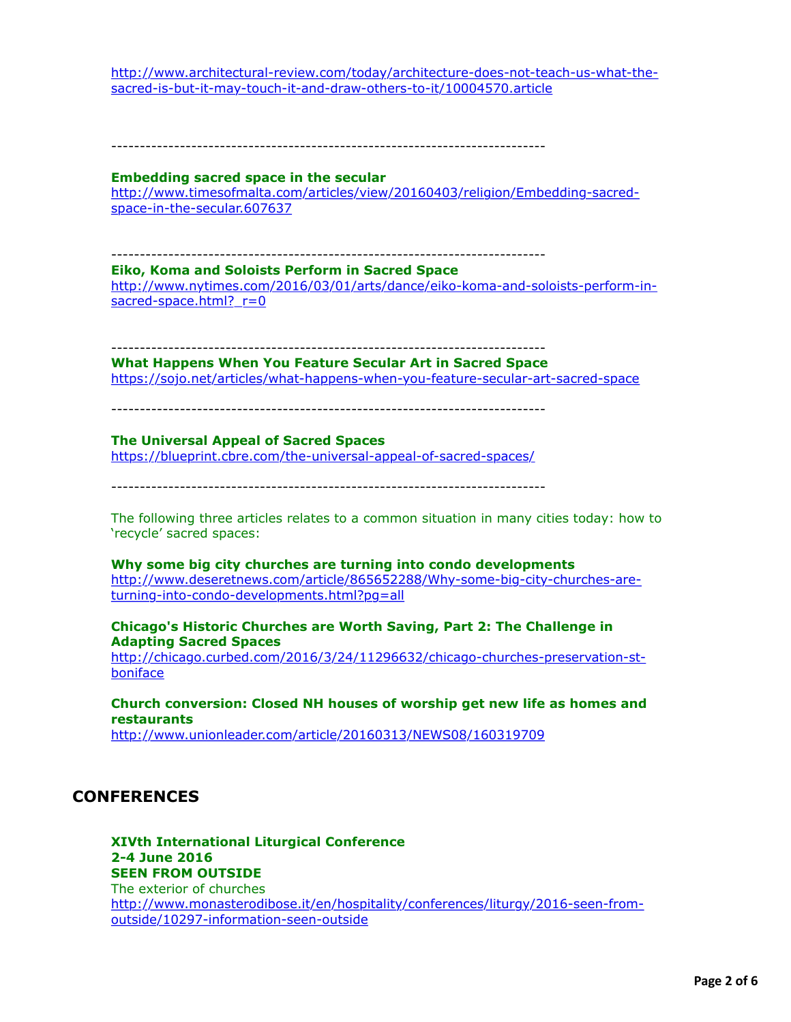[http://www.architectural-review.com/today/architecture-does-not-teach-us-what-the](http://www.architectural-review.com/today/architecture-does-not-teach-us-what-the-sacred-is-but-it-may-touch-it-and-draw-others-to-it/10004570.article)sacred-is-but-it-may-touch-it-and-draw-others-to-it/10004570.article

----------------------------------------------------------------------------

# **Embedding sacred space in the secular**

[http://www.timesofmalta.com/articles/view/20160403/religion/Embedding-sacred](http://www.timesofmalta.com/articles/view/20160403/religion/Embedding-sacred-space-in-the-secular.607637)space-in-the-secular.607637

----------------------------------------------------------------------------

# **Eiko, Koma and Soloists Perform in Sacred Space**

[http://www.nytimes.com/2016/03/01/arts/dance/eiko-koma-and-soloists-perform-in](http://www.nytimes.com/2016/03/01/arts/dance/eiko-koma-and-soloists-perform-in-sacred-space.html?_r=0)sacred-space.html?  $r=0$ 

----------------------------------------------------------------------------

**What Happens When You Feature Secular Art in Sacred Space**  <https://sojo.net/articles/what-happens-when-you-feature-secular-art-sacred-space>

----------------------------------------------------------------------------

### **The Universal Appeal of Sacred Spaces**

<https://blueprint.cbre.com/the-universal-appeal-of-sacred-spaces/>

----------------------------------------------------------------------------

The following three articles relates to a common situation in many cities today: how to 'recycle' sacred spaces:

#### **Why some big city churches are turning into condo developments**

[http://www.deseretnews.com/article/865652288/Why-some-big-city-churches-are](http://www.deseretnews.com/article/865652288/Why-some-big-city-churches-are-turning-into-condo-developments.html?pg=all)turning-into-condo-developments.html?pg=all

# **Chicago's Historic Churches are Worth Saving, Part 2: The Challenge in Adapting Sacred Spaces**

[http://chicago.curbed.com/2016/3/24/11296632/chicago-churches-preservation-st](http://chicago.curbed.com/2016/3/24/11296632/chicago-churches-preservation-st-boniface)boniface

#### **Church conversion: Closed NH houses of worship get new life as homes and restaurants**

<http://www.unionleader.com/article/20160313/NEWS08/160319709>

# **CONFERENCES**

**XIVth International Liturgical Conference 2-4 June 2016 SEEN FROM OUTSIDE** The exterior of churches [http://www.monasterodibose.it/en/hospitality/conferences/liturgy/2016-seen-from](http://www.monasterodibose.it/en/hospitality/conferences/liturgy/2016-seen-from-outside/10297-information-seen-outside)outside/10297-information-seen-outside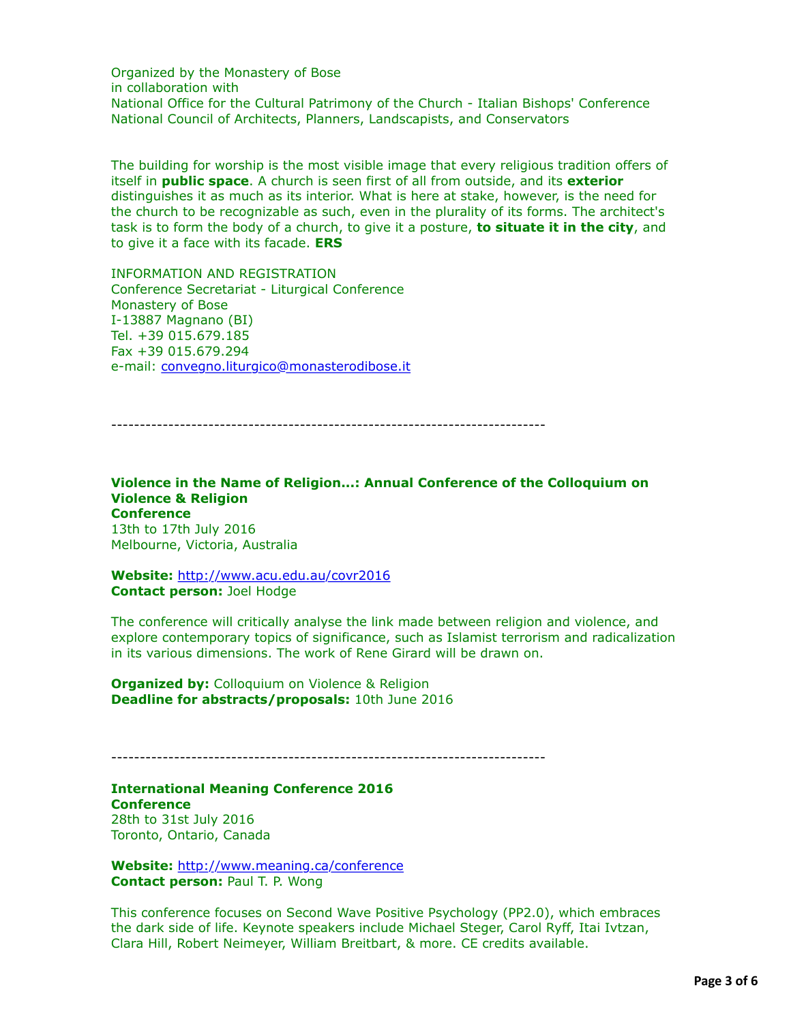Organized by the Monastery of Bose in collaboration with National Office for the Cultural Patrimony of the Church - Italian Bishops' Conference National Council of Architects, Planners, Landscapists, and Conservators

The building for worship is the most visible image that every religious tradition offers of itself in **public space**. A church is seen first of all from outside, and its **exterior** distinguishes it as much as its interior. What is here at stake, however, is the need for the church to be recognizable as such, even in the plurality of its forms. The architect's task is to form the body of a church, to give it a posture, **to situate it in the city**, and to give it a face with its facade. **ERS**

INFORMATION AND REGISTRATION Conference Secretariat - Liturgical Conference Monastery of Bose I-13887 Magnano (BI) Tel. +39 015.679.185 Fax +39 015.679.294 e-mail: [convegno.liturgico@monasterodibose.it](applewebdata://EA30FCAE-6EC1-4435-B428-653A3CCE3FF9/convegno.liturgico@monasterodibose.it)

----------------------------------------------------------------------------

**Violence in the Name of Religion...: Annual Conference of the Colloquium on Violence & Religion Conference** 13th to 17th July 2016 Melbourne, Victoria, Australia

**Website:** <http://www.acu.edu.au/covr2016> **Contact person:** Joel Hodge

The conference will critically analyse the link made between religion and violence, and explore contemporary topics of significance, such as Islamist terrorism and radicalization in its various dimensions. The work of Rene Girard will be drawn on.

**Organized by:** Colloquium on Violence & Religion **Deadline for abstracts/proposals:** 10th June 2016

----------------------------------------------------------------------------

**International Meaning Conference 2016 Conference** 28th to 31st July 2016 Toronto, Ontario, Canada

**Website:** <http://www.meaning.ca/conference> **Contact person:** Paul T. P. Wong

This conference focuses on Second Wave Positive Psychology (PP2.0), which embraces the dark side of life. Keynote speakers include Michael Steger, Carol Ryff, Itai Ivtzan, Clara Hill, Robert Neimeyer, William Breitbart, & more. CE credits available.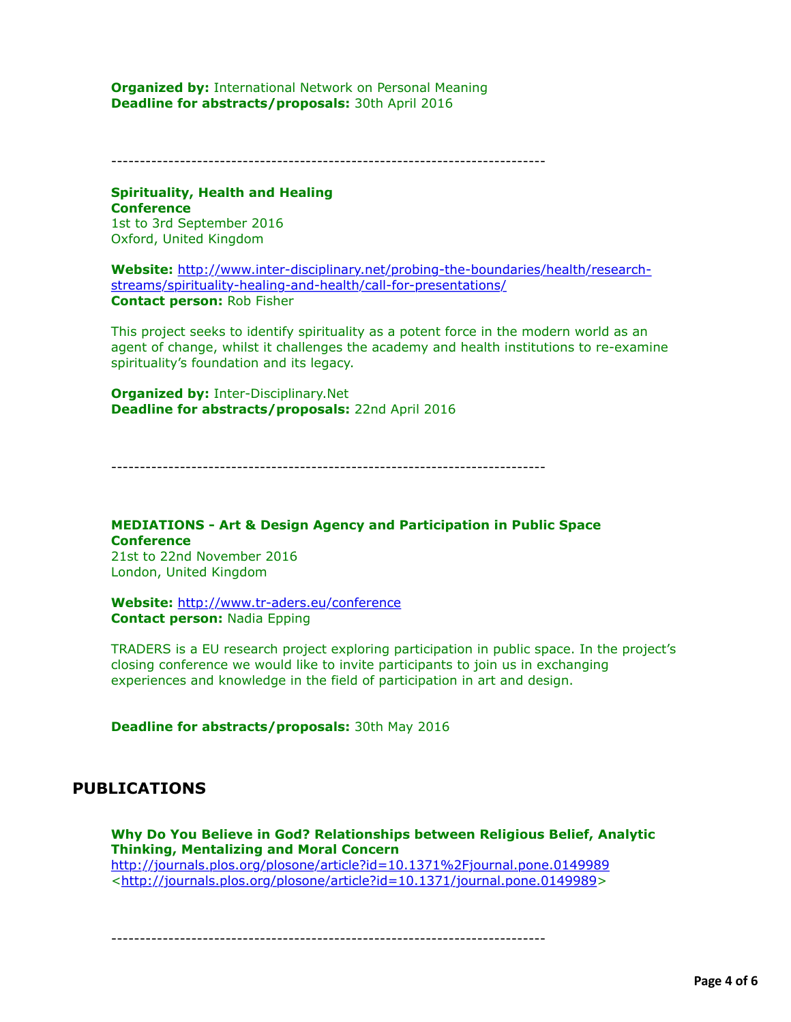**Organized by: International Network on Personal Meaning Deadline for abstracts/proposals:** 30th April 2016

----------------------------------------------------------------------------

#### **Spirituality, Health and Healing Conference** 1st to 3rd September 2016

Oxford, United Kingdom

**Website:** [http://www.inter-disciplinary.net/probing-the-boundaries/health/research](http://www.inter-disciplinary.net/probing-the-boundaries/health/research-streams/spirituality-healing-and-health/call-for-presentations/)streams/spirituality-healing-and-health/call-for-presentations/ **Contact person:** Rob Fisher

This project seeks to identify spirituality as a potent force in the modern world as an agent of change, whilst it challenges the academy and health institutions to re-examine spirituality's foundation and its legacy.

**Organized by: Inter-Disciplinary.Net Deadline for abstracts/proposals:** 22nd April 2016

----------------------------------------------------------------------------

**MEDIATIONS - Art & Design Agency and Participation in Public Space Conference** 21st to 22nd November 2016 London, United Kingdom

**Website:** <http://www.tr-aders.eu/conference> **Contact person:** Nadia Epping

TRADERS is a EU research project exploring participation in public space. In the project's closing conference we would like to invite participants to join us in exchanging experiences and knowledge in the field of participation in art and design.

**Deadline for abstracts/proposals:** 30th May 2016

# **PUBLICATIONS**

**Why Do You Believe in God? Relationships between Religious Belief, Analytic Thinking, Mentalizing and Moral Concern** <http://journals.plos.org/plosone/article?id=10.1371%2Fjournal.pone.0149989> <<http://journals.plos.org/plosone/article?id=10.1371/journal.pone.0149989>>

----------------------------------------------------------------------------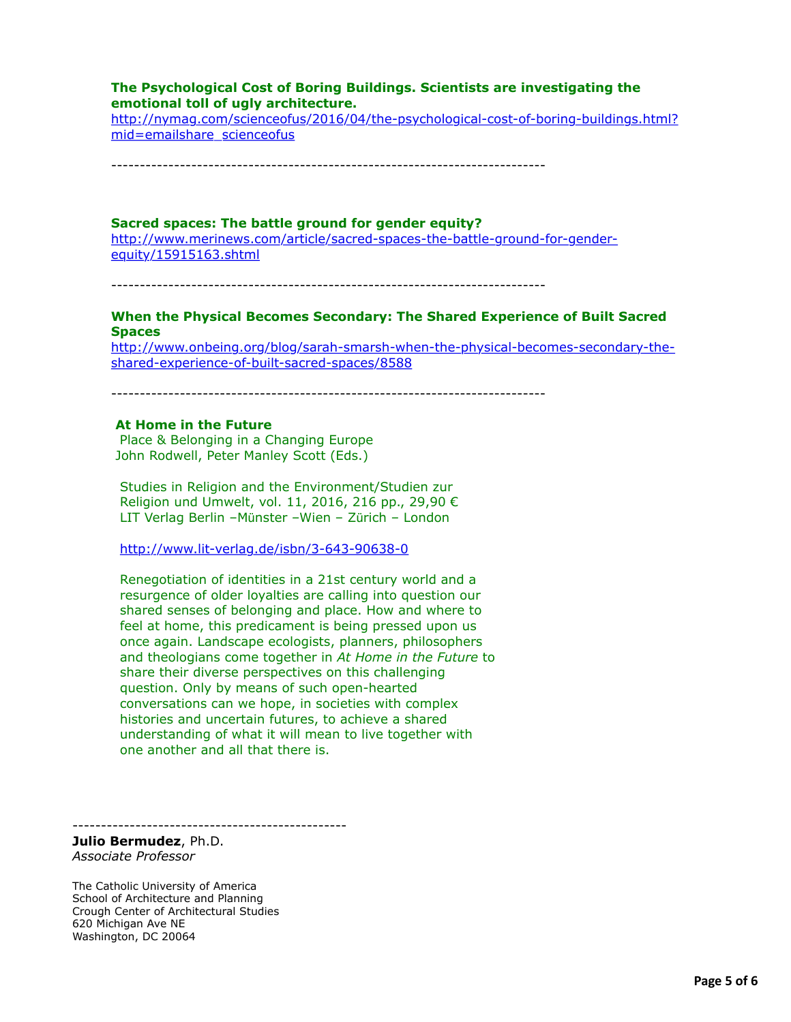# **The Psychological Cost of Boring Buildings. Scientists are investigating the emotional toll of ugly architecture.**

[http://nymag.com/scienceofus/2016/04/the-psychological-cost-of-boring-buildings.html?](http://nymag.com/scienceofus/2016/04/the-psychological-cost-of-boring-buildings.html?mid=emailshare_scienceofus) mid=emailshare\_scienceofus

----------------------------------------------------------------------------

## **Sacred spaces: The battle ground for gender equity?**

[http://www.merinews.com/article/sacred-spaces-the-battle-ground-for-gender](http://www.merinews.com/article/sacred-spaces-the-battle-ground-for-gender-equity/15915163.shtml)equity/15915163.shtml

----------------------------------------------------------------------------

# **When the Physical Becomes Secondary: The Shared Experience of Built Sacred Spaces**

[http://www.onbeing.org/blog/sarah-smarsh-when-the-physical-becomes-secondary-the](http://www.onbeing.org/blog/sarah-smarsh-when-the-physical-becomes-secondary-the-shared-experience-of-built-sacred-spaces/8588)shared-experience-of-built-sacred-spaces/8588

----------------------------------------------------------------------------

### **At Home in the Future**

 Place & Belonging in a Changing Europe John Rodwell, Peter Manley Scott (Eds.)

 Studies in Religion and the Environment/Studien zur Religion und Umwelt, vol. 11, 2016, 216 pp., 29,90 € LIT Verlag Berlin –Münster –Wien – Zürich – London

<http://www.lit-verlag.de/isbn/3-643-90638-0>

 Renegotiation of identities in a 21st century world and a resurgence of older loyalties are calling into question our shared senses of belonging and place. How and where to feel at home, this predicament is being pressed upon us once again. Landscape ecologists, planners, philosophers and theologians come together in *At Home in the Future* to share their diverse perspectives on this challenging question. Only by means of such open-hearted conversations can we hope, in societies with complex histories and uncertain futures, to achieve a shared understanding of what it will mean to live together with one another and all that there is.

------------------------------------------------

**Julio Bermudez**, Ph.D. *Associate Professor*

The Catholic University of America School of Architecture and Planning Crough Center of Architectural Studies 620 Michigan Ave NE Washington, DC 20064